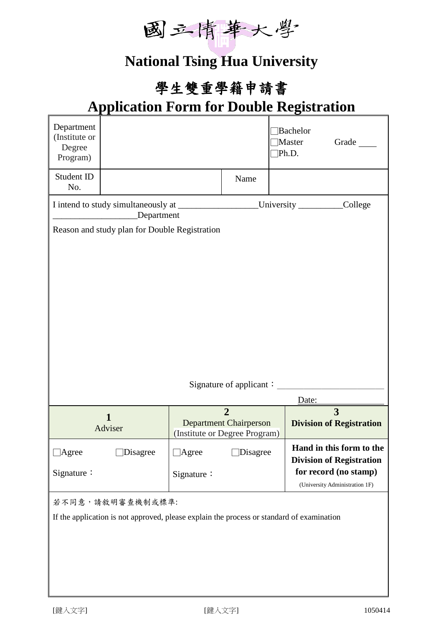

## **National Tsing Hua University**

## 學生雙重學籍申請書

## **Application Form for Double Registration**

| Department<br>(Institute or<br>Degree<br>Program)                                         |                 |              |                                                                                  | Bachelor<br>Master<br>Ph.D. |                                                         | Grade                                                       |  |
|-------------------------------------------------------------------------------------------|-----------------|--------------|----------------------------------------------------------------------------------|-----------------------------|---------------------------------------------------------|-------------------------------------------------------------|--|
| Student ID<br>No.                                                                         |                 |              | Name                                                                             |                             |                                                         |                                                             |  |
| Department                                                                                |                 |              | _University ___________College                                                   |                             |                                                         |                                                             |  |
| Reason and study plan for Double Registration                                             |                 |              |                                                                                  |                             |                                                         |                                                             |  |
|                                                                                           |                 |              |                                                                                  | Date:                       |                                                         |                                                             |  |
| $\mathbf{1}$<br>Adviser                                                                   |                 |              | $\overline{2}$<br><b>Department Chairperson</b><br>(Institute or Degree Program) |                             |                                                         | 3<br><b>Division of Registration</b>                        |  |
| $\Box$<br>Agree                                                                           | $\Box$ Disagree | $\Box$ Agree | <b>Disagree</b>                                                                  |                             |                                                         | Hand in this form to the<br><b>Division of Registration</b> |  |
| Signature:                                                                                |                 | Signature:   |                                                                                  |                             | for record (no stamp)<br>(University Administration 1F) |                                                             |  |
| 若不同意,請敘明審查機制或標準:                                                                          |                 |              |                                                                                  |                             |                                                         |                                                             |  |
| If the application is not approved, please explain the process or standard of examination |                 |              |                                                                                  |                             |                                                         |                                                             |  |
|                                                                                           |                 |              |                                                                                  |                             |                                                         |                                                             |  |